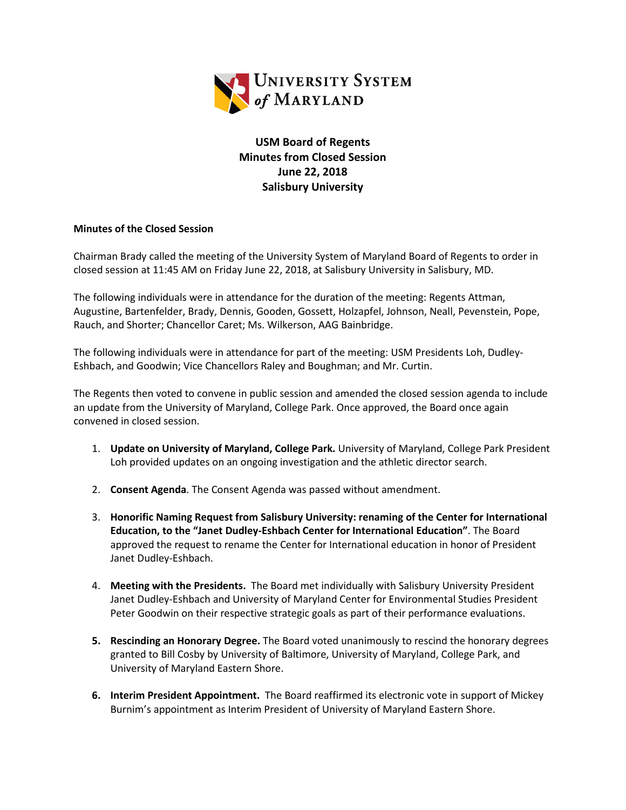

**USM Board of Regents Minutes from Closed Session June 22, 2018 Salisbury University** 

## **Minutes of the Closed Session**

Chairman Brady called the meeting of the University System of Maryland Board of Regents to order in closed session at 11:45 AM on Friday June 22, 2018, at Salisbury University in Salisbury, MD.

The following individuals were in attendance for the duration of the meeting: Regents Attman, Augustine, Bartenfelder, Brady, Dennis, Gooden, Gossett, Holzapfel, Johnson, Neall, Pevenstein, Pope, Rauch, and Shorter; Chancellor Caret; Ms. Wilkerson, AAG Bainbridge.

The following individuals were in attendance for part of the meeting: USM Presidents Loh, Dudley-Eshbach, and Goodwin; Vice Chancellors Raley and Boughman; and Mr. Curtin.

The Regents then voted to convene in public session and amended the closed session agenda to include an update from the University of Maryland, College Park. Once approved, the Board once again convened in closed session.

- 1. **Update on University of Maryland, College Park.** University of Maryland, College Park President Loh provided updates on an ongoing investigation and the athletic director search.
- 2. **Consent Agenda**. The Consent Agenda was passed without amendment.
- 3. **Honorific Naming Request from Salisbury University: renaming of the Center for International Education, to the "Janet Dudley-Eshbach Center for International Education"**. The Board approved the request to rename the Center for International education in honor of President Janet Dudley-Eshbach.
- 4. **Meeting with the Presidents.** The Board met individually with Salisbury University President Janet Dudley-Eshbach and University of Maryland Center for Environmental Studies President Peter Goodwin on their respective strategic goals as part of their performance evaluations.
- **5. Rescinding an Honorary Degree.** The Board voted unanimously to rescind the honorary degrees granted to Bill Cosby by University of Baltimore, University of Maryland, College Park, and University of Maryland Eastern Shore.
- **6. Interim President Appointment.** The Board reaffirmed its electronic vote in support of Mickey Burnim's appointment as Interim President of University of Maryland Eastern Shore.